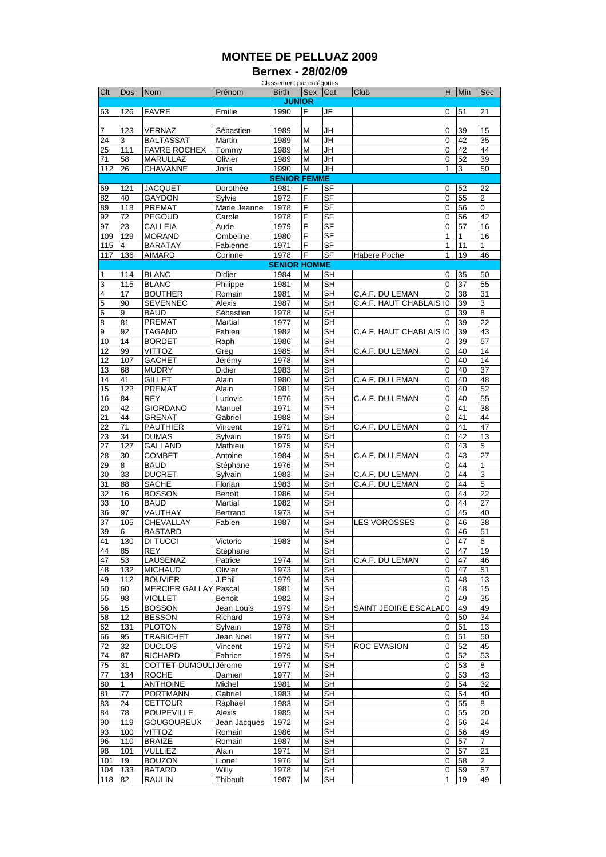## **MONTEE DE PELLUAZ 2009**

**Bernex - 28/02/09**

|                                                                                                            |                 |                       |              | Classement par catégories |     |                          |                       |                |     |                |
|------------------------------------------------------------------------------------------------------------|-----------------|-----------------------|--------------|---------------------------|-----|--------------------------|-----------------------|----------------|-----|----------------|
| Clt                                                                                                        | Dos             | <b>Nom</b>            | Prénom       | <b>Birth</b>              | Sex | Cat                      | Club                  | H              | Min | <b>Sec</b>     |
|                                                                                                            |                 |                       |              | <b>JUNIOR</b>             |     |                          |                       |                |     |                |
| 63                                                                                                         | 126             | <b>FAVRE</b>          | Emilie       | 1990                      | F   | JF                       |                       | $\overline{0}$ | 51  | 21             |
|                                                                                                            |                 |                       |              |                           |     |                          |                       |                |     |                |
| 7                                                                                                          | 123             | VERNAZ                | Sébastien    | 1989                      | M   | JH                       |                       | 0              | 39  | 15             |
| 24                                                                                                         | 3               | <b>BALTASSAT</b>      | Martin       | 1989                      | M   | JH                       |                       | 0              | 42  | 35             |
| 25                                                                                                         | 111             | <b>FAVRE ROCHEX</b>   | Tommy        | 1989                      | M   | JH                       |                       | 0              | 42  | 44             |
| 71                                                                                                         | 58              | <b>MARULLAZ</b>       | Olivier      | 1989                      | M   | JH                       |                       | 0              | 52  | 39             |
| 112                                                                                                        | 26              | CHAVANNE              | Joris        | 1990                      | M   | <b>JH</b>                |                       | 1              | 3   | 50             |
|                                                                                                            |                 |                       |              |                           |     |                          |                       |                |     |                |
| <b>SENIOR FEMME</b>                                                                                        |                 |                       |              |                           |     |                          |                       |                |     |                |
| 69                                                                                                         | 121             | <b>JACQUET</b>        | Dorothée     | 1981                      | F   | <b>SF</b>                |                       | 0              | 52  | 22             |
| 82                                                                                                         | 40              | <b>GAYDON</b>         | Sylvie       | 1972                      | F   | SF                       |                       | $\overline{0}$ | 55  | $\overline{2}$ |
| 89                                                                                                         | 118             | <b>PREMAT</b>         | Marie Jeanne | 1978                      | F   | <b>SF</b>                |                       | 0              | 56  | $\Omega$       |
| 92                                                                                                         | 72              | <b>PEGOUD</b>         | Carole       | 1978                      | F   | SF                       |                       | 0              | 56  | 42             |
| 97                                                                                                         | 23              | CALLEIA               | Aude         | 1979                      | F   | <b>SF</b>                |                       | 0              | 57  | 16             |
| 109                                                                                                        | 129             | <b>MORAND</b>         | Ombeline     | 1980                      | F   | SF                       |                       | 1              | 1   | 16             |
| 115                                                                                                        | 4               | BARATAY               | Fabienne     | 1971                      | F   | <b>SF</b>                |                       | 1              | 11  | 1              |
| 117                                                                                                        | 136             | <b>AIMARD</b>         | Corinne      | 1978                      | F   | SF                       | Habere Poche          | 1              | 19  | 46             |
|                                                                                                            |                 |                       |              |                           |     |                          |                       |                |     |                |
| <b>SENIOR HOMME</b><br>114<br><b>BLANC</b><br>Didier<br>SH<br>35<br>50<br>$\overline{1}$<br>1984<br>M<br>0 |                 |                       |              |                           |     |                          |                       |                |     |                |
|                                                                                                            |                 |                       | Philippe     |                           |     |                          |                       |                |     |                |
| 3                                                                                                          | 115             | <b>BLANC</b>          |              | 1981                      | M   | SН                       |                       | 0              | 37  | 55             |
| 4                                                                                                          | 17              | <b>BOUTHER</b>        | Romain       | 1981                      | M   | <b>SH</b>                | C.A.F. DU LEMAN       | 0              | 38  | 31             |
| 5                                                                                                          | 90              | <b>SEVENNEC</b>       | Alexis       | 1987                      | М   | <b>SH</b>                | C.A.F. HAUT CHABLAIS  | 0              | 39  | 3              |
| $6\phantom{.}6$                                                                                            | 9               | BAUD                  | Sébastien    | 1978                      | М   | <b>SH</b>                |                       | 0              | 39  | 8              |
| 8                                                                                                          | 81              | <b>PREMAT</b>         | Martial      | 1977                      | М   | SH                       |                       | 0              | 39  | 22             |
| 9                                                                                                          | 92              | <b>TAGAND</b>         | Fabien       | 1982                      | M   | SΗ                       | C.A.F. HAUT CHABLAIS  | 0              | 39  | 43             |
| 10                                                                                                         | 14              | <b>BORDET</b>         | Raph         | 1986                      | M   | <b>SH</b>                |                       | $\Omega$       | 39  | 57             |
| 12                                                                                                         | 99              | <b>VITTOZ</b>         | Greg         | 1985                      | M   | <b>SH</b>                | C.A.F. DU LEMAN       | 0              | 40  | 14             |
| 12                                                                                                         | 107             | <b>GACHET</b>         | Jérémy       | 1978                      | М   | SН                       |                       | 0              | 40  | 14             |
| 13                                                                                                         | 68              | <b>MUDRY</b>          | Didier       | 1983                      | M   | <b>SH</b>                |                       | 0              | 40  | 37             |
|                                                                                                            | 41              |                       |              |                           |     | <b>SH</b>                |                       |                | 40  |                |
| 14                                                                                                         |                 | <b>GILLET</b>         | Alain        | 1980                      | М   |                          | C.A.F. DU LEMAN       | 0              |     | 48             |
| 15                                                                                                         | 122             | <b>PREMAT</b>         | Alain        | 1981                      | M   | <b>SH</b>                |                       | 0              | 40  | 52             |
| 16                                                                                                         | 84              | REY                   | Ludovic      | 1976                      | М   | SН                       | C.A.F. DU LEMAN       | 0              | 40  | 55             |
| 20                                                                                                         | 42              | <b>GIORDANO</b>       | Manuel       | 1971                      | M   | SH                       |                       | 0              | 41  | 38             |
| 21                                                                                                         | 44              | <b>GRENAT</b>         | Gabriel      | 1988                      | M   | SΗ                       |                       | $\overline{0}$ | 41  | 44             |
| 22                                                                                                         | $\overline{71}$ | <b>PAUTHIER</b>       | Vincent      | 1971                      | M   | $\overline{\mathsf{SH}}$ | C.A.F. DU LEMAN       | 0              | 41  | 47             |
| 23                                                                                                         | 34              | <b>DUMAS</b>          | Sylvain      | 1975                      | M   | SΗ                       |                       | 0              | 42  | 13             |
| 27                                                                                                         | 127             | <b>GALLAND</b>        | Mathieu      | 1975                      | M   | SН                       |                       | 0              | 43  | 5              |
| 28                                                                                                         | 30              | <b>COMBET</b>         | Antoine      | 1984                      | М   | <b>SH</b>                | C.A.F. DU LEMAN       | 0              | 43  | 27             |
| 29                                                                                                         | 8               | BAUD                  | Stéphane     | 1976                      | М   | $\overline{\mathsf{SH}}$ |                       | 0              | 44  | 1              |
| 30                                                                                                         | 33              | <b>DUCRET</b>         | Sylvain      | 1983                      | M   | SH                       | C.A.F. DU LEMAN       | 0              | 44  | 3              |
|                                                                                                            |                 | <b>SACHE</b>          | Florian      | 1983                      | M   | SН                       | C.A.F. DU LEMAN       | 0              | 44  | 5              |
| 31                                                                                                         | 88              |                       |              |                           |     | <b>SH</b>                |                       |                |     |                |
| 32                                                                                                         | 16              | <b>BOSSON</b>         | Benoît       | 1986                      | M   |                          |                       | 0              | 44  | 22             |
| 33                                                                                                         | 10              | <b>BAUD</b>           | Martial      | 1982                      | M   | SΗ                       |                       | $\overline{0}$ | 44  | 27             |
| 36                                                                                                         | 97              | VAUTHAY               | Bertrand     | 1973                      | M   | <b>SH</b>                |                       | $\overline{0}$ | 45  | 40             |
| 37                                                                                                         | 105             | CHEVALLAY             | Fabien       | 1987                      | M   | SН                       | LES VOROSSES          | 0              | 46  | 38             |
| 39                                                                                                         | 6               | <b>BASTARD</b>        |              |                           | M   | <b>SH</b>                |                       | 0              | 46  | 51             |
| 41                                                                                                         | 130             | DI TUCCI              | Victorio     | 1983                      | M   | SH                       |                       | 0              | 47  | 6              |
| 44                                                                                                         | 85              | REY                   | Stephane     |                           | М   | SΗ                       |                       | 0              | 47  | 19             |
| 47                                                                                                         | 53              | LAUSENAZ              | Patrice      | 1974                      | M   | SН                       | C.A.F. DU LEMAN       | 0              | 47  | 46             |
| 48                                                                                                         | 132             | <b>MICHAUD</b>        | Olivier      | 1973                      | M   | <b>SH</b>                |                       | $\mathbf 0$    | 47  | 51             |
| 49                                                                                                         | 112             | <b>BOUVIER</b>        | J.Phil       | 1979                      | M   | SН                       |                       | 0              | 48  | 13             |
| 50                                                                                                         | 60              | <b>MERCIER GALLAY</b> | Pascal       | 1981                      | M   | SH                       |                       | $\overline{0}$ | 48  | 15             |
| 55                                                                                                         | 98              | VIOLLET               | Benoit       | 1982                      | М   | SН                       |                       | 0              | 49  | 35             |
|                                                                                                            |                 |                       |              |                           |     |                          |                       |                |     |                |
| 56                                                                                                         | 15              | <b>BOSSON</b>         | Jean Louis   | 1979                      | M   | <b>SH</b>                | SAINT JEOIRE ESCALAIO |                | 49  | 49             |
| 58                                                                                                         | 12              | <b>BESSON</b>         | Richard      | 1973                      | М   | <b>SH</b>                |                       | 0              | 50  | 34             |
| 62                                                                                                         | 131             | <b>PLOTON</b>         | Sylvain      | 1978                      | М   | SН                       |                       | 0              | 51  | 13             |
| 66                                                                                                         | 95              | <b>TRABICHET</b>      | Jean Noel    | 1977                      | M   | SH                       |                       | 0              | 51  | 50             |
| 72                                                                                                         | 32              | <b>DUCLOS</b>         | Vincent      | 1972                      | M   | <b>SH</b>                | <b>ROC EVASION</b>    | $\overline{0}$ | 52  | 45             |
| 74                                                                                                         | 87              | <b>RICHARD</b>        | Fabrice      | 1979                      | M   | <b>SH</b>                |                       | $\overline{0}$ | 52  | 53             |
| 75                                                                                                         | 31              | COTTET-DUMOUL         | Jérome       | 1977                      | M   | <b>SH</b>                |                       | $\overline{0}$ | 53  | 8              |
| 77                                                                                                         | 134             | <b>ROCHE</b>          | Damien       | 1977                      | M   | SH                       |                       | 0              | 53  | 43             |
| 80                                                                                                         | $\mathbf{1}$    | <b>ANTHOINE</b>       | Michel       | 1981                      | M   | <b>SH</b>                |                       | 0              | 54  | 32             |
| 81                                                                                                         | 77              | <b>PORTMANN</b>       | Gabriel      | 1983                      | M   | <b>SH</b>                |                       | 0              | 54  | 40             |
| 83                                                                                                         | 24              | <b>CETTOUR</b>        | Raphael      | 1983                      | М   | <b>SH</b>                |                       | 0              | 55  | 8              |
| 84                                                                                                         | 78              | <b>POUPEVILLE</b>     | Alexis       | 1985                      | M   | SH                       |                       | 0              | 55  | 20             |
|                                                                                                            |                 |                       |              |                           |     | SН                       |                       |                |     |                |
| 90                                                                                                         | 119             | <b>GOUGOUREUX</b>     | Jean Jacques | 1972                      | M   |                          |                       | $\mathbf 0$    | 56  | 24             |
| 93                                                                                                         | 100             | <b>VITTOZ</b>         | Romain       | 1986                      | M   | SH                       |                       | 0              | 56  | 49             |
| 96                                                                                                         | 110             | <b>BRAIZE</b>         | Romain       | 1987                      | M   | SΗ                       |                       | 0              | 57  | 7              |
| 98                                                                                                         | 101             | <b>VULLIEZ</b>        | Alain        | 1971                      | М   | SΗ                       |                       | 0              | 57  | 21             |
| 101                                                                                                        | 19              | <b>BOUZON</b>         | Lionel       | 1976                      | M   | SН                       |                       | 0              | 58  | $\overline{2}$ |
| 104                                                                                                        | 133             | BATARD                | Willy        | 1978                      | М   | SH                       |                       | 0              | 59  | 57             |
| 118                                                                                                        | 82              | <b>RAULIN</b>         | Thibault     | 1987                      | M   | <b>SH</b>                |                       |                | 19  | 49             |